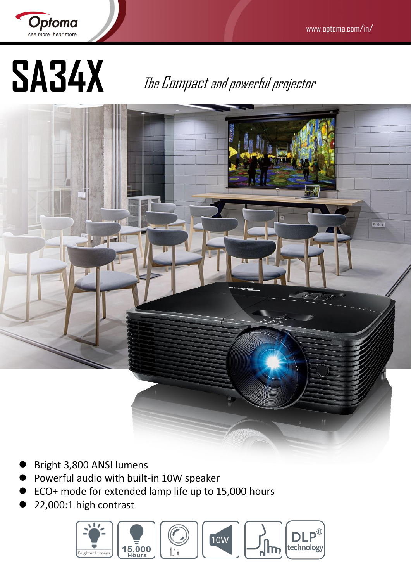

**SA34X** The Compactand powerful projector



- Bright 3,800 ANSI lumens
- Powerful audio with built-in 10W speaker
- ECO+ mode for extended lamp life up to 15,000 hours
- 22,000:1 high contrast

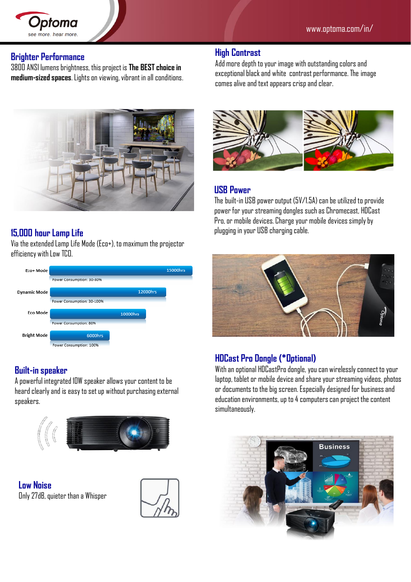#### **Brighter Performance**

3800 ANSI lumens brightness, this project is **The BEST choice in medium-sized spaces**. Lights on viewing, vibrant in all conditions.



### **15,000 hour Lamp Life**

Via the extended Lamp Life Mode (Eco+), to maximum the projector efficiency with Low TCO.



#### **Built-in speaker**

A powerful integrated 10W speaker allows your content to be heard clearly and is easy to set up without purchasing external speakers.



**Low Noise**  Only 27dB, quieter than a Whisper



#### **High Contrast**

Add more depth to your image with outstanding colors and exceptional black and white contrast performance. The image comes alive and text appears crisp and clear.



#### **USB Power**

The built-in USB power output (5V/1.5A) can be utilized to provide power for your streaming dongles such as Chromecast, HDCast Pro, or mobile devices. Charge your mobile devices simply by plugging in your USB charging cable.



#### **HDCast Pro Dongle (\*Optional)**

With an optional HDCastProdongle, you can wirelessly connect to your laptop, tablet or mobile device and share your streaming videos, photos or documents to the big screen. Especially designed for business and education environments, up to 4 computers can project the content simultaneously.